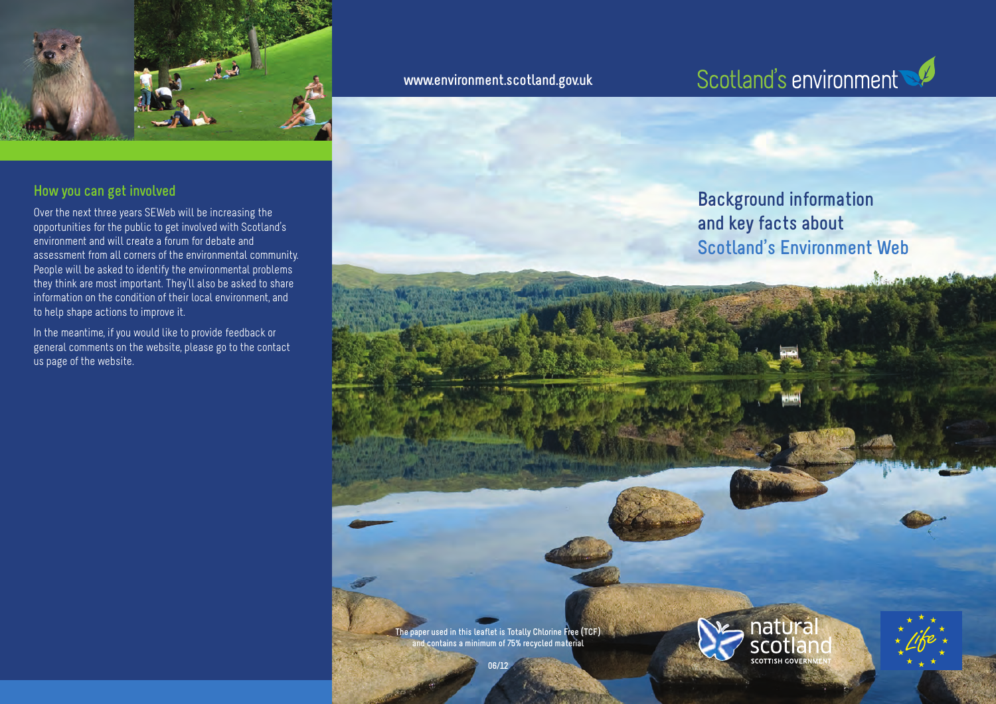

#### **How you can get involved**

Over the next three years SEWeb will be increasing the opportunities for the public to get involved with Scotland's environment and will create a forum for debate and assessment from all corners of the environmental community. People will be asked to identify the environmental problems they think are most important. They'll also be asked to share information on the condition of their local environment, and to help shape actions to improve it.

In the meantime, if you would like to provide feedback or general comments on the website, please go to the contact us page of the website.

**www.environment.scotland.gov.uk**

## Scotland's environment

### **Background information and key facts about Scotland's Environment Web**

**The paper used in this leaflet is Totally Chlorine Free (TCF) and contains a minimum of 75% recycled material**

**06/12**